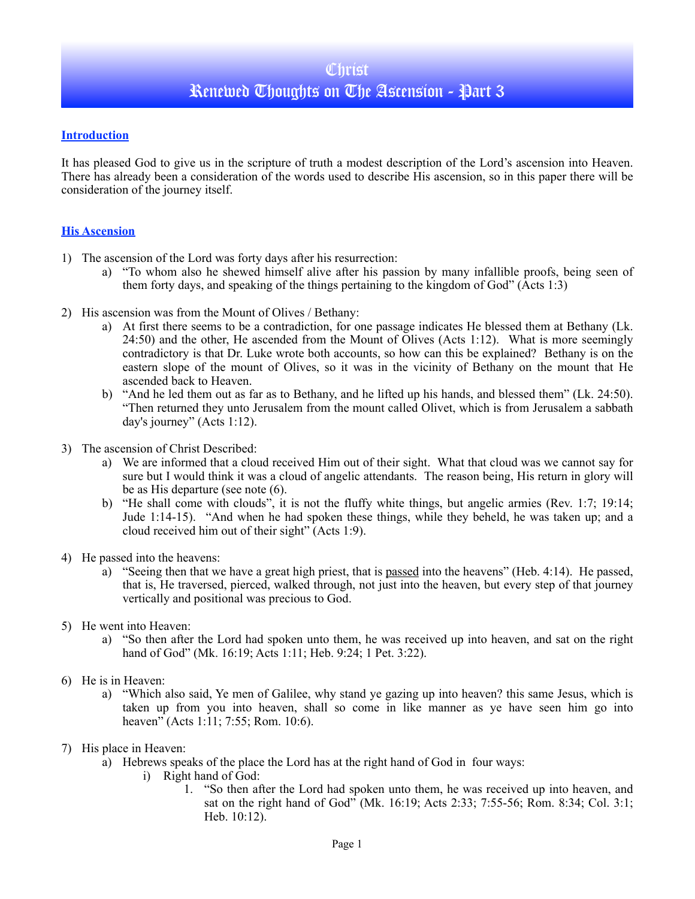## **Introduction**

It has pleased God to give us in the scripture of truth a modest description of the Lord's ascension into Heaven. There has already been a consideration of the words used to describe His ascension, so in this paper there will be consideration of the journey itself.

## **His Ascension**

- 1) The ascension of the Lord was forty days after his resurrection:
	- a) "To whom also he shewed himself alive after his passion by many infallible proofs, being seen of them forty days, and speaking of the things pertaining to the kingdom of God" (Acts 1:3)
- 2) His ascension was from the Mount of Olives / Bethany:
	- a) At first there seems to be a contradiction, for one passage indicates He blessed them at Bethany (Lk. 24:50) and the other, He ascended from the Mount of Olives (Acts 1:12). What is more seemingly contradictory is that Dr. Luke wrote both accounts, so how can this be explained? Bethany is on the eastern slope of the mount of Olives, so it was in the vicinity of Bethany on the mount that He ascended back to Heaven.
	- b) "And he led them out as far as to Bethany, and he lifted up his hands, and blessed them" (Lk. 24:50). "Then returned they unto Jerusalem from the mount called Olivet, which is from Jerusalem a sabbath day's journey" (Acts 1:12).
- 3) The ascension of Christ Described:
	- a) We are informed that a cloud received Him out of their sight. What that cloud was we cannot say for sure but I would think it was a cloud of angelic attendants. The reason being, His return in glory will be as His departure (see note (6).
	- b) "He shall come with clouds", it is not the fluffy white things, but angelic armies (Rev. 1:7; 19:14; Jude 1:14-15). "And when he had spoken these things, while they beheld, he was taken up; and a cloud received him out of their sight" (Acts 1:9).
- 4) He passed into the heavens:
	- a) "Seeing then that we have a great high priest, that is passed into the heavens" (Heb. 4:14). He passed, that is, He traversed, pierced, walked through, not just into the heaven, but every step of that journey vertically and positional was precious to God.
- 5) He went into Heaven:
	- a) "So then after the Lord had spoken unto them, he was received up into heaven, and sat on the right hand of God" (Mk. 16:19; Acts 1:11; Heb. 9:24; 1 Pet. 3:22).
- 6) He is in Heaven:
	- a) "Which also said, Ye men of Galilee, why stand ye gazing up into heaven? this same Jesus, which is taken up from you into heaven, shall so come in like manner as ye have seen him go into heaven" (Acts 1:11; 7:55; Rom. 10:6).
- 7) His place in Heaven:
	- a) Hebrews speaks of the place the Lord has at the right hand of God in four ways:
		- i) Right hand of God:
			- 1. "So then after the Lord had spoken unto them, he was received up into heaven, and sat on the right hand of God" (Mk. 16:19; Acts 2:33; 7:55-56; Rom. 8:34; Col. 3:1; Heb. 10:12).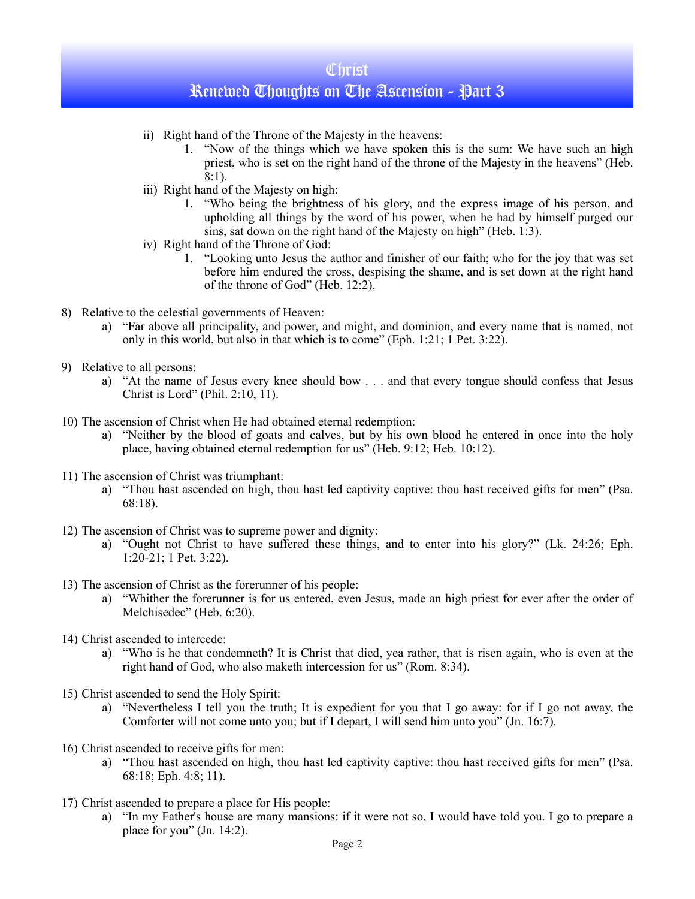## **Christ** Renewed Thoughts on The Ascension - Part 3

- ii) Right hand of the Throne of the Majesty in the heavens:
	- 1. "Now of the things which we have spoken this is the sum: We have such an high priest, who is set on the right hand of the throne of the Majesty in the heavens" (Heb.  $8:1$ ).
- iii) Right hand of the Majesty on high:
	- 1. "Who being the brightness of his glory, and the express image of his person, and upholding all things by the word of his power, when he had by himself purged our sins, sat down on the right hand of the Majesty on high" (Heb. 1:3).
- iv) Right hand of the Throne of God:
	- 1. "Looking unto Jesus the author and finisher of our faith; who for the joy that was set before him endured the cross, despising the shame, and is set down at the right hand of the throne of God" (Heb. 12:2).
- 8) Relative to the celestial governments of Heaven:
	- a) "Far above all principality, and power, and might, and dominion, and every name that is named, not only in this world, but also in that which is to come" (Eph. 1:21; 1 Pet. 3:22).
- 9) Relative to all persons:
	- a) "At the name of Jesus every knee should bow . . . and that every tongue should confess that Jesus Christ is Lord" (Phil. 2:10, 11).
- 10) The ascension of Christ when He had obtained eternal redemption:
	- a) "Neither by the blood of goats and calves, but by his own blood he entered in once into the holy place, having obtained eternal redemption for us" (Heb. 9:12; Heb. 10:12).
- 11) The ascension of Christ was triumphant:
	- a) "Thou hast ascended on high, thou hast led captivity captive: thou hast received gifts for men" (Psa. 68:18).
- 12) The ascension of Christ was to supreme power and dignity:
	- a) "Ought not Christ to have suffered these things, and to enter into his glory?" (Lk. 24:26; Eph. 1:20-21; 1 Pet. 3:22).
- 13) The ascension of Christ as the forerunner of his people:
	- a) "Whither the forerunner is for us entered, even Jesus, made an high priest for ever after the order of Melchisedec" (Heb. 6:20).
- 14) Christ ascended to intercede:
	- a) "Who is he that condemneth? It is Christ that died, yea rather, that is risen again, who is even at the right hand of God, who also maketh intercession for us" (Rom. 8:34).
- 15) Christ ascended to send the Holy Spirit:
	- a) "Nevertheless I tell you the truth; It is expedient for you that I go away: for if I go not away, the Comforter will not come unto you; but if I depart, I will send him unto you" (Jn. 16:7).
- 16) Christ ascended to receive gifts for men:
	- a) "Thou hast ascended on high, thou hast led captivity captive: thou hast received gifts for men" (Psa. 68:18; Eph. 4:8; 11).
- 17) Christ ascended to prepare a place for His people:
	- a) "In my Father's house are many mansions: if it were not so, I would have told you. I go to prepare a place for you" (Jn. 14:2).